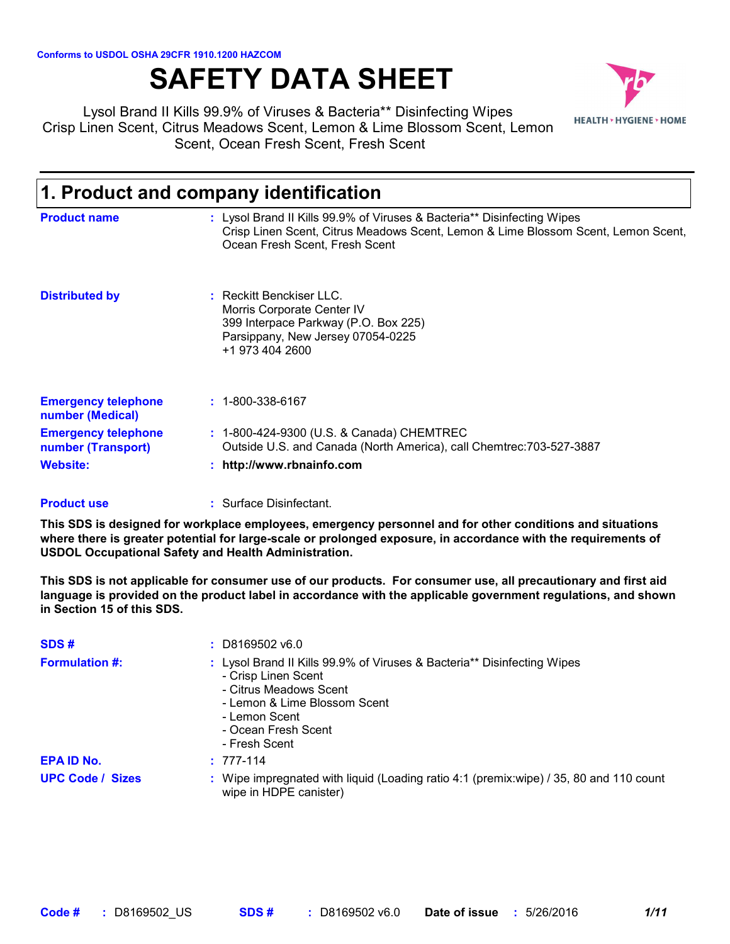# **SAFETY DATA SHEET**



Lysol Brand II Kills 99.9% of Viruses & Bacteria\*\* Disinfecting Wipes Crisp Linen Scent, Citrus Meadows Scent, Lemon & Lime Blossom Scent, Lemon Scent, Ocean Fresh Scent, Fresh Scent

| 1. Product and company identification            |                                                                                                                                                                                                |  |
|--------------------------------------------------|------------------------------------------------------------------------------------------------------------------------------------------------------------------------------------------------|--|
| <b>Product name</b>                              | : Lysol Brand II Kills 99.9% of Viruses & Bacteria** Disinfecting Wipes<br>Crisp Linen Scent, Citrus Meadows Scent, Lemon & Lime Blossom Scent, Lemon Scent,<br>Ocean Fresh Scent, Fresh Scent |  |
| <b>Distributed by</b>                            | : Reckitt Benckiser LLC.<br>Morris Corporate Center IV<br>399 Interpace Parkway (P.O. Box 225)<br>Parsippany, New Jersey 07054-0225<br>+1 973 404 2600                                         |  |
| <b>Emergency telephone</b><br>number (Medical)   | $: 1 - 800 - 338 - 6167$                                                                                                                                                                       |  |
| <b>Emergency telephone</b><br>number (Transport) | : 1-800-424-9300 (U.S. & Canada) CHEMTREC<br>Outside U.S. and Canada (North America), call Chemtrec: 703-527-3887                                                                              |  |
| <b>Website:</b>                                  | http://www.rbnainfo.com                                                                                                                                                                        |  |

#### Surface Disinfectant. **: Product use**

**This SDS is designed for workplace employees, emergency personnel and for other conditions and situations where there is greater potential for large-scale or prolonged exposure, in accordance with the requirements of USDOL Occupational Safety and Health Administration.**

**This SDS is not applicable for consumer use of our products. For consumer use, all precautionary and first aid language is provided on the product label in accordance with the applicable government regulations, and shown in Section 15 of this SDS.**

| SDS#                    | $: $ D8169502 v6.0                                                                                                                                                                                                |
|-------------------------|-------------------------------------------------------------------------------------------------------------------------------------------------------------------------------------------------------------------|
| <b>Formulation #:</b>   | : Lysol Brand II Kills 99.9% of Viruses & Bacteria** Disinfecting Wipes<br>- Crisp Linen Scent<br>- Citrus Meadows Scent<br>- Lemon & Lime Blossom Scent<br>- Lemon Scent<br>- Ocean Fresh Scent<br>- Fresh Scent |
| <b>EPA ID No.</b>       | $: 777-114$                                                                                                                                                                                                       |
| <b>UPC Code / Sizes</b> | : Wipe impregnated with liquid (Loading ratio 4:1 (premix:wipe) / 35, 80 and 110 count<br>wipe in HDPE canister)                                                                                                  |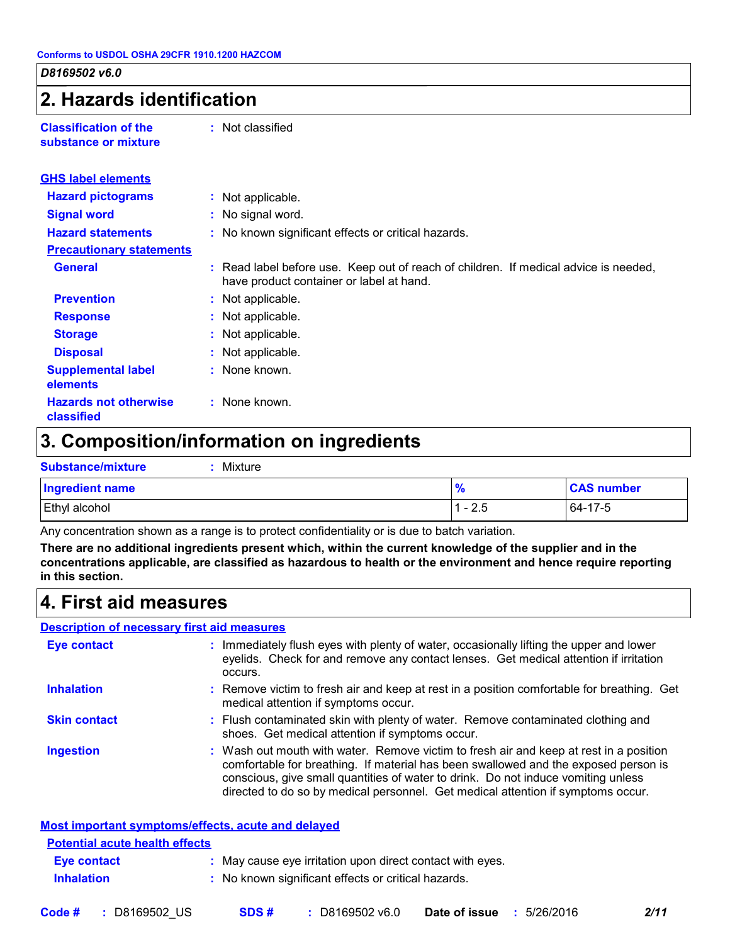### **2. Hazards identification**

**Classification of the substance or mixture** **:** Not classified

| <b>GHS label elements</b>                  |                                                                                                                                  |
|--------------------------------------------|----------------------------------------------------------------------------------------------------------------------------------|
| <b>Hazard pictograms</b>                   | : Not applicable.                                                                                                                |
| <b>Signal word</b>                         | : No signal word.                                                                                                                |
| <b>Hazard statements</b>                   | : No known significant effects or critical hazards.                                                                              |
| <b>Precautionary statements</b>            |                                                                                                                                  |
| <b>General</b>                             | : Read label before use. Keep out of reach of children. If medical advice is needed,<br>have product container or label at hand. |
| <b>Prevention</b>                          | : Not applicable.                                                                                                                |
| <b>Response</b>                            | : Not applicable.                                                                                                                |
| <b>Storage</b>                             | : Not applicable.                                                                                                                |
| <b>Disposal</b>                            | : Not applicable.                                                                                                                |
| <b>Supplemental label</b><br>elements      | : None known.                                                                                                                    |
| <b>Hazards not otherwise</b><br>classified | : None known.                                                                                                                    |

### **3. Composition/information on ingredients**

| <b>Substance/mixture</b> | Mixture |               |                   |
|--------------------------|---------|---------------|-------------------|
| Ingredient name          |         | $\frac{9}{6}$ | <b>CAS number</b> |
| <b>Ethyl alcohol</b>     |         | - 2.5         | 64-17-5           |

Any concentration shown as a range is to protect confidentiality or is due to batch variation.

**There are no additional ingredients present which, within the current knowledge of the supplier and in the concentrations applicable, are classified as hazardous to health or the environment and hence require reporting in this section.**

### **4. First aid measures**

#### **Description of necessary first aid measures**

| <b>Eye contact</b>  | : Immediately flush eyes with plenty of water, occasionally lifting the upper and lower<br>eyelids. Check for and remove any contact lenses. Get medical attention if irritation<br>occurs.                                                                                                                                                            |
|---------------------|--------------------------------------------------------------------------------------------------------------------------------------------------------------------------------------------------------------------------------------------------------------------------------------------------------------------------------------------------------|
| <b>Inhalation</b>   | : Remove victim to fresh air and keep at rest in a position comfortable for breathing. Get<br>medical attention if symptoms occur.                                                                                                                                                                                                                     |
| <b>Skin contact</b> | : Flush contaminated skin with plenty of water. Remove contaminated clothing and<br>shoes. Get medical attention if symptoms occur.                                                                                                                                                                                                                    |
| <b>Ingestion</b>    | : Wash out mouth with water. Remove victim to fresh air and keep at rest in a position<br>comfortable for breathing. If material has been swallowed and the exposed person is<br>conscious, give small quantities of water to drink. Do not induce vomiting unless<br>directed to do so by medical personnel. Get medical attention if symptoms occur. |

| <b>Most important symptoms/effects, acute and delayed</b> |                                                           |
|-----------------------------------------------------------|-----------------------------------------------------------|
| <b>Potential acute health effects</b>                     |                                                           |
| Eye contact                                               | : May cause eye irritation upon direct contact with eyes. |
| <b>Inhalation</b>                                         | : No known significant effects or critical hazards.       |
|                                                           |                                                           |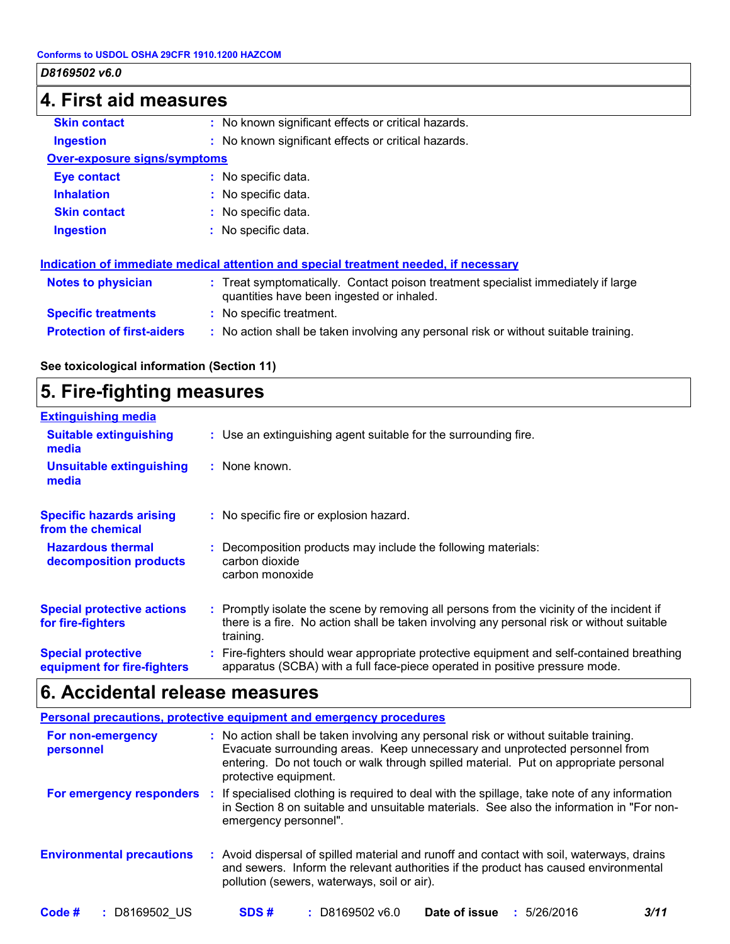### **4. First aid measures Protection of first-aiders :** No action shall be taken involving any personal risk or without suitable training. **Notes to physician :** Treat symptomatically. Contact poison treatment specialist immediately if large quantities have been ingested or inhaled. **Specific treatments :** No specific treatment. **Ingestion :** No known significant effects or critical hazards. **Skin contact :** No known significant effects or critical hazards. **Over-exposure signs/symptoms Skin contact Ingestion Inhalation :** No specific data. No specific data. **:** No specific data. **: Eye contact :** No specific data. **Indication of immediate medical attention and special treatment needed, if necessary**

### **See toxicological information (Section 11)**

### **5. Fire-fighting measures**

| <b>Extinguishing media</b>                               |                                                                                                                                                                                                     |
|----------------------------------------------------------|-----------------------------------------------------------------------------------------------------------------------------------------------------------------------------------------------------|
| <b>Suitable extinguishing</b><br>media                   | : Use an extinguishing agent suitable for the surrounding fire.                                                                                                                                     |
| <b>Unsuitable extinguishing</b><br>media                 | : None known.                                                                                                                                                                                       |
| <b>Specific hazards arising</b><br>from the chemical     | : No specific fire or explosion hazard.                                                                                                                                                             |
| <b>Hazardous thermal</b><br>decomposition products       | Decomposition products may include the following materials:<br>carbon dioxide<br>carbon monoxide                                                                                                    |
| <b>Special protective actions</b><br>for fire-fighters   | : Promptly isolate the scene by removing all persons from the vicinity of the incident if<br>there is a fire. No action shall be taken involving any personal risk or without suitable<br>training. |
| <b>Special protective</b><br>equipment for fire-fighters | : Fire-fighters should wear appropriate protective equipment and self-contained breathing<br>apparatus (SCBA) with a full face-piece operated in positive pressure mode.                            |

### **6. Accidental release measures**

|                                  | <b>Personal precautions, protective equipment and emergency procedures</b>                                                                                                                                                                                                           |
|----------------------------------|--------------------------------------------------------------------------------------------------------------------------------------------------------------------------------------------------------------------------------------------------------------------------------------|
| For non-emergency<br>personnel   | : No action shall be taken involving any personal risk or without suitable training.<br>Evacuate surrounding areas. Keep unnecessary and unprotected personnel from<br>entering. Do not touch or walk through spilled material. Put on appropriate personal<br>protective equipment. |
| For emergency responders :       | If specialised clothing is required to deal with the spillage, take note of any information<br>in Section 8 on suitable and unsuitable materials. See also the information in "For non-<br>emergency personnel".                                                                     |
| <b>Environmental precautions</b> | : Avoid dispersal of spilled material and runoff and contact with soil, waterways, drains<br>and sewers. Inform the relevant authorities if the product has caused environmental<br>pollution (sewers, waterways, soil or air).                                                      |
| Code #<br>D8169502 US            | SDS#<br>$: $ D8169502 v6.0<br>Date of issue<br>: 5/26/2016<br>3/11                                                                                                                                                                                                                   |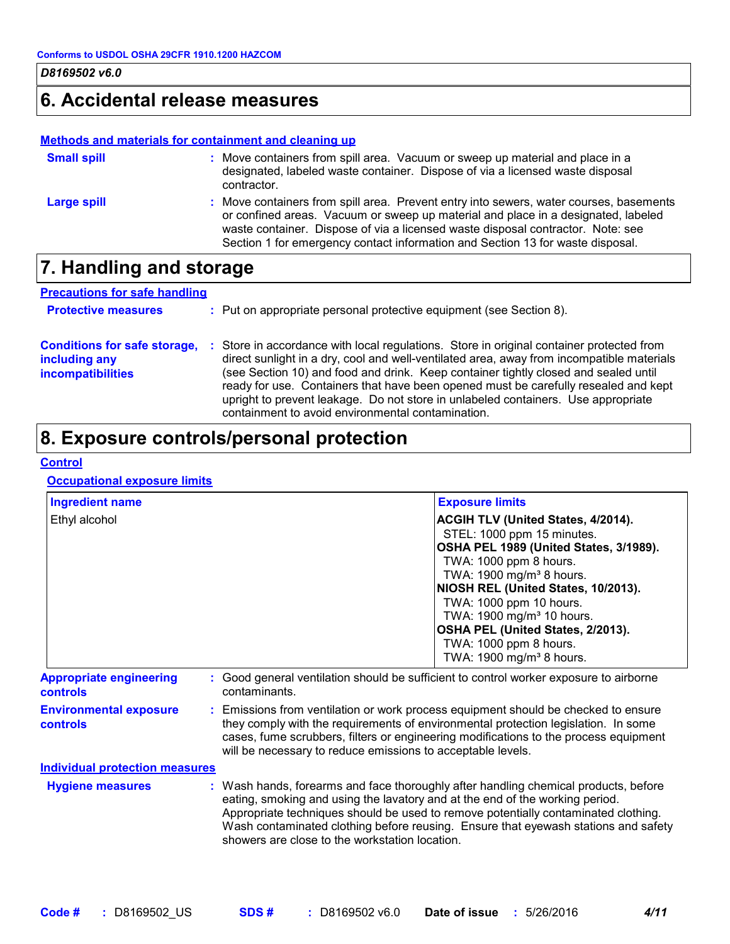### **6. Accidental release measures**

#### **Methods and materials for containment and cleaning up**

| <b>Small spill</b> | : Move containers from spill area. Vacuum or sweep up material and place in a<br>designated, labeled waste container. Dispose of via a licensed waste disposal<br>contractor.                                                                                                                                                                    |
|--------------------|--------------------------------------------------------------------------------------------------------------------------------------------------------------------------------------------------------------------------------------------------------------------------------------------------------------------------------------------------|
| Large spill        | : Move containers from spill area. Prevent entry into sewers, water courses, basements<br>or confined areas. Vacuum or sweep up material and place in a designated, labeled<br>waste container. Dispose of via a licensed waste disposal contractor. Note: see<br>Section 1 for emergency contact information and Section 13 for waste disposal. |

### **7. Handling and storage**

| <b>Precautions for safe handling</b>                                             |  |                                                                                                                                                                                                                                                                                                                                                                                                                                                                                                             |
|----------------------------------------------------------------------------------|--|-------------------------------------------------------------------------------------------------------------------------------------------------------------------------------------------------------------------------------------------------------------------------------------------------------------------------------------------------------------------------------------------------------------------------------------------------------------------------------------------------------------|
| <b>Protective measures</b>                                                       |  | : Put on appropriate personal protective equipment (see Section 8).                                                                                                                                                                                                                                                                                                                                                                                                                                         |
| <b>Conditions for safe storage,</b><br>including any<br><b>incompatibilities</b> |  | Store in accordance with local regulations. Store in original container protected from<br>direct sunlight in a dry, cool and well-ventilated area, away from incompatible materials<br>(see Section 10) and food and drink. Keep container tightly closed and sealed until<br>ready for use. Containers that have been opened must be carefully resealed and kept<br>upright to prevent leakage. Do not store in unlabeled containers. Use appropriate<br>containment to avoid environmental contamination. |

## **8. Exposure controls/personal protection**

#### **Control**

#### **Occupational exposure limits**

| <b>Ingredient name</b>                            | <b>Exposure limits</b>                                                                                                                                                                                                                                                                                                                                                                            |  |  |
|---------------------------------------------------|---------------------------------------------------------------------------------------------------------------------------------------------------------------------------------------------------------------------------------------------------------------------------------------------------------------------------------------------------------------------------------------------------|--|--|
| Ethyl alcohol                                     | ACGIH TLV (United States, 4/2014).<br>STEL: 1000 ppm 15 minutes.<br>OSHA PEL 1989 (United States, 3/1989).<br>TWA: 1000 ppm 8 hours.<br>TWA: 1900 mg/m <sup>3</sup> 8 hours.<br>NIOSH REL (United States, 10/2013).<br>TWA: 1000 ppm 10 hours.<br>TWA: 1900 mg/m <sup>3</sup> 10 hours.<br>OSHA PEL (United States, 2/2013).<br>TWA: 1000 ppm 8 hours.<br>TWA: 1900 mg/m <sup>3</sup> 8 hours.    |  |  |
| <b>Appropriate engineering</b><br><b>controls</b> | Good general ventilation should be sufficient to control worker exposure to airborne<br>contaminants.                                                                                                                                                                                                                                                                                             |  |  |
| <b>Environmental exposure</b><br>controls         | : Emissions from ventilation or work process equipment should be checked to ensure<br>they comply with the requirements of environmental protection legislation. In some<br>cases, fume scrubbers, filters or engineering modifications to the process equipment<br>will be necessary to reduce emissions to acceptable levels.                                                                   |  |  |
| <b>Individual protection measures</b>             |                                                                                                                                                                                                                                                                                                                                                                                                   |  |  |
| <b>Hygiene measures</b>                           | : Wash hands, forearms and face thoroughly after handling chemical products, before<br>eating, smoking and using the lavatory and at the end of the working period.<br>Appropriate techniques should be used to remove potentially contaminated clothing.<br>Wash contaminated clothing before reusing. Ensure that eyewash stations and safety<br>showers are close to the workstation location. |  |  |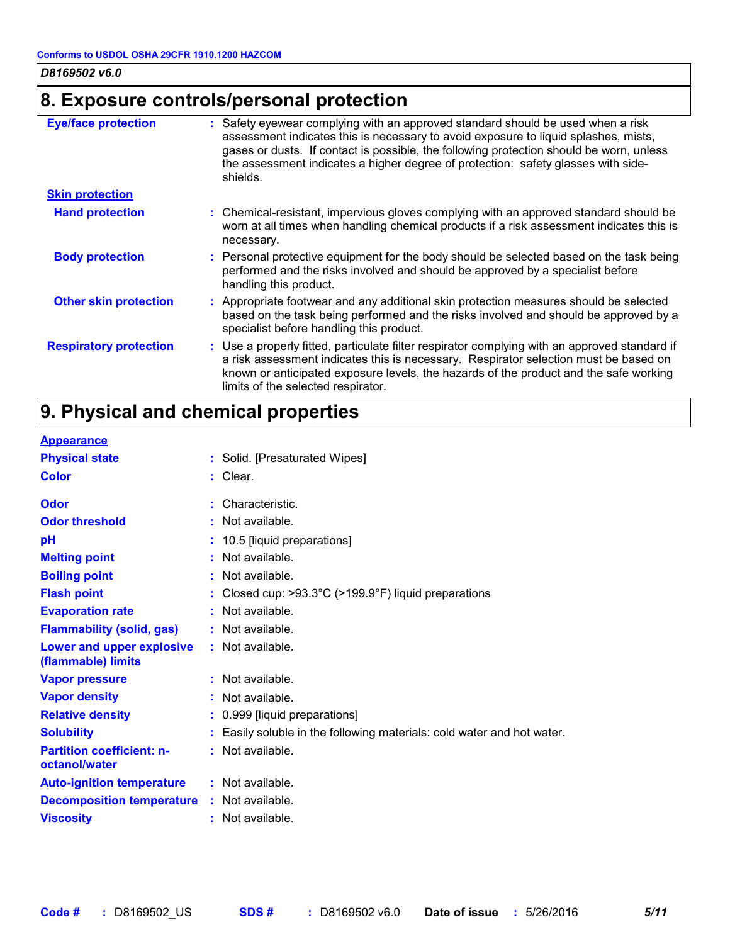### **8. Exposure controls/personal protection**

| <b>Eye/face protection</b>    | : Safety eyewear complying with an approved standard should be used when a risk<br>assessment indicates this is necessary to avoid exposure to liquid splashes, mists,<br>gases or dusts. If contact is possible, the following protection should be worn, unless                                                    |
|-------------------------------|----------------------------------------------------------------------------------------------------------------------------------------------------------------------------------------------------------------------------------------------------------------------------------------------------------------------|
|                               | the assessment indicates a higher degree of protection: safety glasses with side-<br>shields.                                                                                                                                                                                                                        |
| <b>Skin protection</b>        |                                                                                                                                                                                                                                                                                                                      |
| <b>Hand protection</b>        | : Chemical-resistant, impervious gloves complying with an approved standard should be<br>worn at all times when handling chemical products if a risk assessment indicates this is<br>necessary.                                                                                                                      |
| <b>Body protection</b>        | : Personal protective equipment for the body should be selected based on the task being<br>performed and the risks involved and should be approved by a specialist before<br>handling this product.                                                                                                                  |
| <b>Other skin protection</b>  | : Appropriate footwear and any additional skin protection measures should be selected<br>based on the task being performed and the risks involved and should be approved by a<br>specialist before handling this product.                                                                                            |
| <b>Respiratory protection</b> | : Use a properly fitted, particulate filter respirator complying with an approved standard if<br>a risk assessment indicates this is necessary. Respirator selection must be based on<br>known or anticipated exposure levels, the hazards of the product and the safe working<br>limits of the selected respirator. |

## **9. Physical and chemical properties**

| <b>Appearance</b>                                 |                                                                           |
|---------------------------------------------------|---------------------------------------------------------------------------|
| <b>Physical state</b>                             | : Solid. [Presaturated Wipes]                                             |
| <b>Color</b>                                      | : Clear.                                                                  |
| Odor                                              | : Characteristic.                                                         |
| <b>Odor threshold</b>                             | : Not available.                                                          |
| pH                                                | : 10.5 [liquid preparations]                                              |
| <b>Melting point</b>                              | : Not available.                                                          |
| <b>Boiling point</b>                              | : Not available.                                                          |
| <b>Flash point</b>                                | : Closed cup: $>93.3^{\circ}$ C ( $>199.9^{\circ}$ F) liquid preparations |
| <b>Evaporation rate</b>                           | : Not available.                                                          |
| <b>Flammability (solid, gas)</b>                  | : Not available.                                                          |
| Lower and upper explosive<br>(flammable) limits   | : Not available.                                                          |
| <b>Vapor pressure</b>                             | : Not available.                                                          |
| <b>Vapor density</b>                              | : Not available.                                                          |
| <b>Relative density</b>                           | : 0.999 [liquid preparations]                                             |
| <b>Solubility</b>                                 | : Easily soluble in the following materials: cold water and hot water.    |
| <b>Partition coefficient: n-</b><br>octanol/water | : Not available.                                                          |
| <b>Auto-ignition temperature</b>                  | : Not available.                                                          |
| <b>Decomposition temperature</b>                  | : Not available.                                                          |
| <b>Viscosity</b>                                  | : Not available.                                                          |
|                                                   |                                                                           |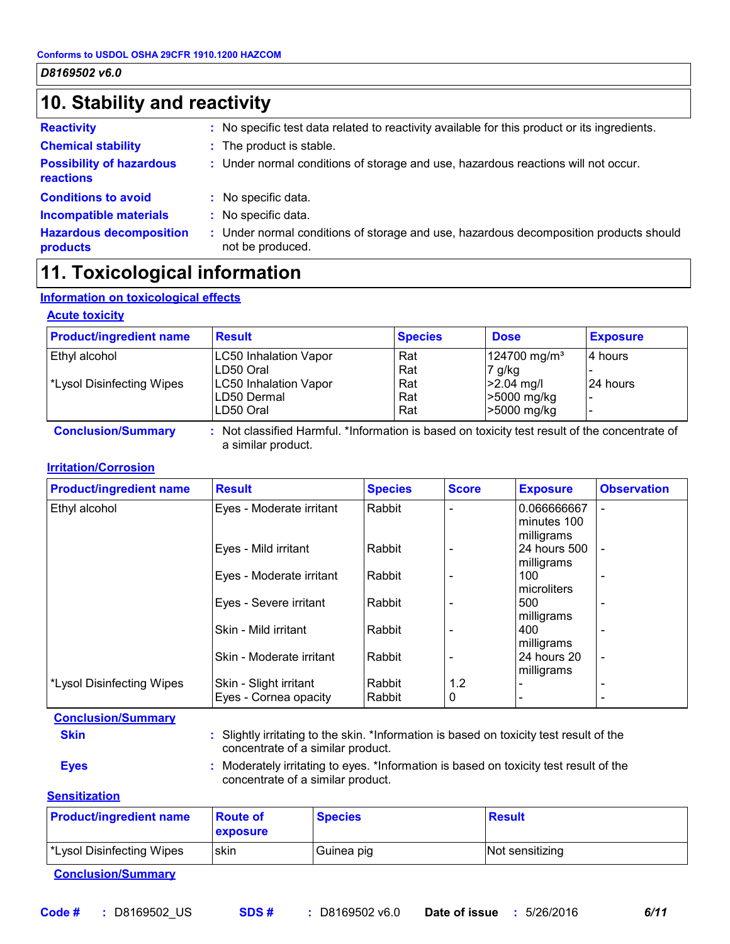### **10. Stability and reactivity**

**reactions**

**products**

**Reactivity :** No specific test data related to reactivity available for this product or its ingredients.

- **Chemical stability The product is stable.**
- **Possibility of hazardous :** Under normal conditions of storage and use, hazardous reactions will not occur.
- **Conditions to avoid**
- : No specific data. : No specific data.
- **Incompatible materials :**
- **Hazardous decomposition**  Under normal conditions of storage and use, hazardous decomposition products should **:** not be produced.

### **11. Toxicological information**

#### **Information on toxicological effects**

#### **Acute toxicity**

| <b>Product/ingredient name</b>   | <b>Result</b>                                                                                 | <b>Species</b> | <b>Dose</b>              | <b>Exposure</b> |
|----------------------------------|-----------------------------------------------------------------------------------------------|----------------|--------------------------|-----------------|
| Ethyl alcohol                    | <b>LC50 Inhalation Vapor</b>                                                                  | Rat            | 124700 mg/m <sup>3</sup> | 4 hours         |
|                                  | LD50 Oral                                                                                     | Rat            | $7$ g/kg                 |                 |
| <b>*Lysol Disinfecting Wipes</b> | <b>LC50 Inhalation Vapor</b>                                                                  | Rat            | $ >2.04$ mg/l            | 24 hours        |
|                                  | LD50 Dermal                                                                                   | Rat            | >5000 mg/kg              |                 |
|                                  | LD50 Oral                                                                                     | Rat            | >5000 mg/kg              |                 |
| <b>Conclusion/Summary</b>        | : Not classified Harmful. *Information is based on toxicity test result of the concentrate of |                |                          |                 |

a similar product.

#### **Irritation/Corrosion**

| <b>Product/ingredient name</b>        | <b>Result</b>                                   | <b>Species</b>   | <b>Score</b> | <b>Exposure</b>                          | <b>Observation</b> |
|---------------------------------------|-------------------------------------------------|------------------|--------------|------------------------------------------|--------------------|
| Ethyl alcohol                         | Eyes - Moderate irritant                        | Rabbit           |              | 0.066666667<br>minutes 100<br>milligrams | $\overline{a}$     |
|                                       | Eyes - Mild irritant                            | Rabbit           |              | 24 hours 500<br>milligrams               |                    |
|                                       | Eyes - Moderate irritant                        | Rabbit           |              | 100<br>microliters                       |                    |
|                                       | Eyes - Severe irritant                          | Rabbit           |              | 500<br>milligrams                        |                    |
|                                       | Skin - Mild irritant                            | Rabbit           |              | 400<br>milligrams                        |                    |
|                                       | Skin - Moderate irritant                        | Rabbit           |              | 24 hours 20<br>milligrams                | $\blacksquare$     |
| <sup>*</sup> Lysol Disinfecting Wipes | Skin - Slight irritant<br>Eyes - Cornea opacity | Rabbit<br>Rabbit | 1.2<br>0     |                                          |                    |

**Conclusion/Summary**

**Skin Example 20 :** Slightly irritating to the skin. \*Information is based on toxicity test result of the concentrate of a similar product.

**Eyes Eyes :** Moderately irritating to eyes. \*Information is based on toxicity test result of the

**Sensitization**

| <b>Product/ingredient name</b> | <b>Route of</b><br><b>exposure</b> | <b>Species</b> | Result          |
|--------------------------------|------------------------------------|----------------|-----------------|
| *Lysol Disinfecting Wipes      | skin                               | Guinea pig     | Not sensitizing |

**Conclusion/Summary**

concentrate of a similar product.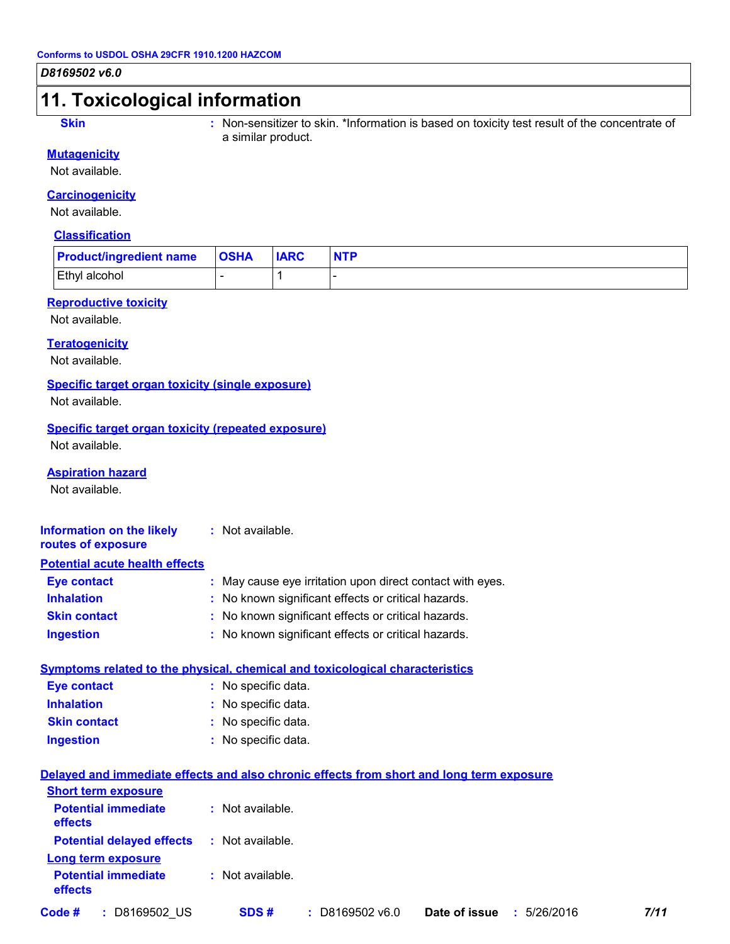### **11. Toxicological information**

**Skin Example 20 Stin :** Non-sensitizer to skin. \*Information is based on toxicity test result of the concentrate of a similar product.

#### **Mutagenicity**

Not available.

#### **Carcinogenicity**

Not available.

#### **Classification**

| <b>Product/ingredient name</b> | <b>OSHA</b> | <b>IARC</b> |  |
|--------------------------------|-------------|-------------|--|
| <b>Ethyl alcohol</b>           |             |             |  |

#### **Reproductive toxicity**

Not available.

#### **Teratogenicity**

Not available.

#### **Specific target organ toxicity (single exposure)**

Not available.

#### **Specific target organ toxicity (repeated exposure)**

Not available.

#### **Aspiration hazard**

Not available.

#### **Information on the likely :** Not available. **routes of exposure**

| <b>Potential acute health effects</b> |                                                           |
|---------------------------------------|-----------------------------------------------------------|
| <b>Eye contact</b>                    | : May cause eye irritation upon direct contact with eyes. |
| <b>Inhalation</b>                     | : No known significant effects or critical hazards.       |
| <b>Skin contact</b>                   | : No known significant effects or critical hazards.       |
| <b>Ingestion</b>                      | : No known significant effects or critical hazards.       |

#### **Symptoms related to the physical, chemical and toxicological characteristics**

| <b>Eye contact</b>  | : No specific data. |
|---------------------|---------------------|
| <b>Inhalation</b>   | : No specific data. |
| <b>Skin contact</b> | : No specific data. |
| <b>Ingestion</b>    | : No specific data. |

#### **Delayed and immediate effects and also chronic effects from short and long term exposure**

| <b>Short term exposure</b>                        |                  |                   |               |             |      |
|---------------------------------------------------|------------------|-------------------|---------------|-------------|------|
| <b>Potential immediate</b><br><b>effects</b>      | : Not available. |                   |               |             |      |
| <b>Potential delayed effects : Not available.</b> |                  |                   |               |             |      |
| Long term exposure                                |                  |                   |               |             |      |
| <b>Potential immediate</b><br>effects             | : Not available. |                   |               |             |      |
| Code #<br>D8169502 US<br>-11                      | SDS#             | $:$ D8169502 v6.0 | Date of issue | : 5/26/2016 | 7/11 |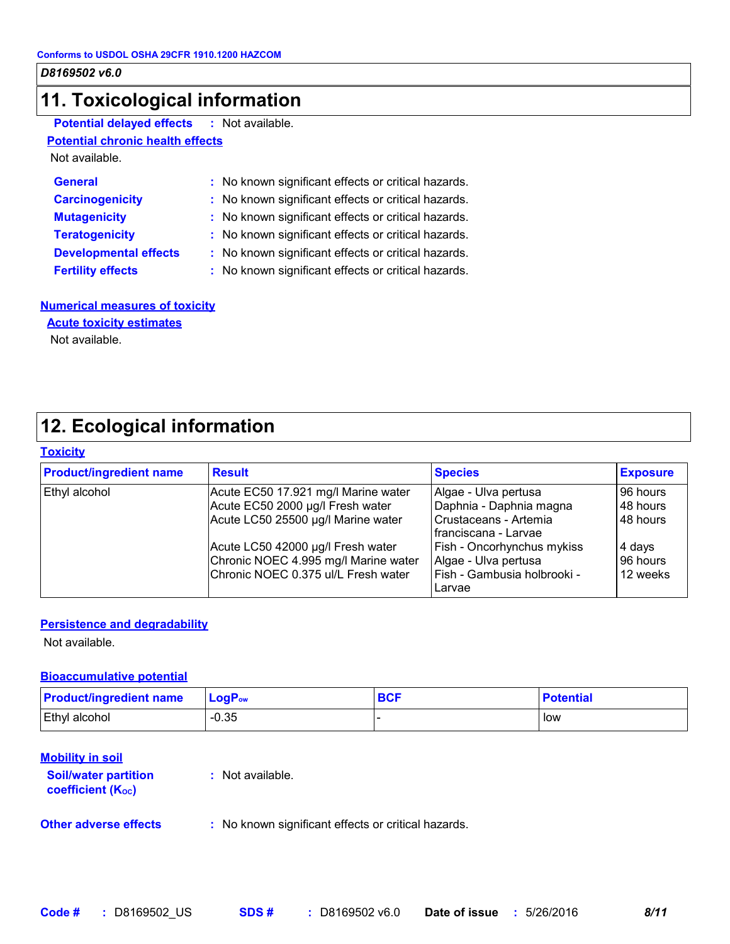### **11. Toxicological information**

**Potential delayed effects :** Not available.

#### **Potential chronic health effects**

Not available.

| <b>General</b>               | : No known significant effects or critical hazards. |
|------------------------------|-----------------------------------------------------|
| <b>Carcinogenicity</b>       | : No known significant effects or critical hazards. |
| <b>Mutagenicity</b>          | : No known significant effects or critical hazards. |
| <b>Teratogenicity</b>        | : No known significant effects or critical hazards. |
| <b>Developmental effects</b> | : No known significant effects or critical hazards. |
| <b>Fertility effects</b>     | : No known significant effects or critical hazards. |

#### **Numerical measures of toxicity**

#### **Acute toxicity estimates**

Not available.

### **12. Ecological information**

#### **Toxicity**

| <b>Product/ingredient name</b> | <b>Result</b>                                                                                                    | <b>Species</b>                                                                                     | <b>Exposure</b>                  |
|--------------------------------|------------------------------------------------------------------------------------------------------------------|----------------------------------------------------------------------------------------------------|----------------------------------|
| <b>Ethyl alcohol</b>           | Acute EC50 17.921 mg/l Marine water<br>Acute EC50 2000 µg/l Fresh water<br>Acute LC50 25500 µg/l Marine water    | Algae - Ulva pertusa<br>Daphnia - Daphnia magna<br>Crustaceans - Artemia<br>Ifranciscana - Larvae  | 96 hours<br>48 hours<br>48 hours |
|                                | Acute LC50 42000 µg/l Fresh water<br>Chronic NOEC 4.995 mg/l Marine water<br>Chronic NOEC 0.375 ul/L Fresh water | <b>Fish - Oncorhynchus mykiss</b><br>Algae - Ulva pertusa<br>Fish - Gambusia holbrooki -<br>Larvae | 4 days<br>96 hours<br>12 weeks   |

#### **Persistence and degradability**

Not available.

#### **Bioaccumulative potential**

| <b>Product/ingredient name</b> | $\mathsf{LogP}_\mathsf{ow}$ | <b>DOT</b><br>יטס | <b>Potential</b> |
|--------------------------------|-----------------------------|-------------------|------------------|
| Ethyl alcohol                  | $-0.35$                     |                   | low              |

#### **Mobility in soil**

| <b>Soil/water partition</b><br><b>coefficient (Koc)</b> | : Not available.                                    |
|---------------------------------------------------------|-----------------------------------------------------|
| <b>Other adverse effects</b>                            | : No known significant effects or critical hazards. |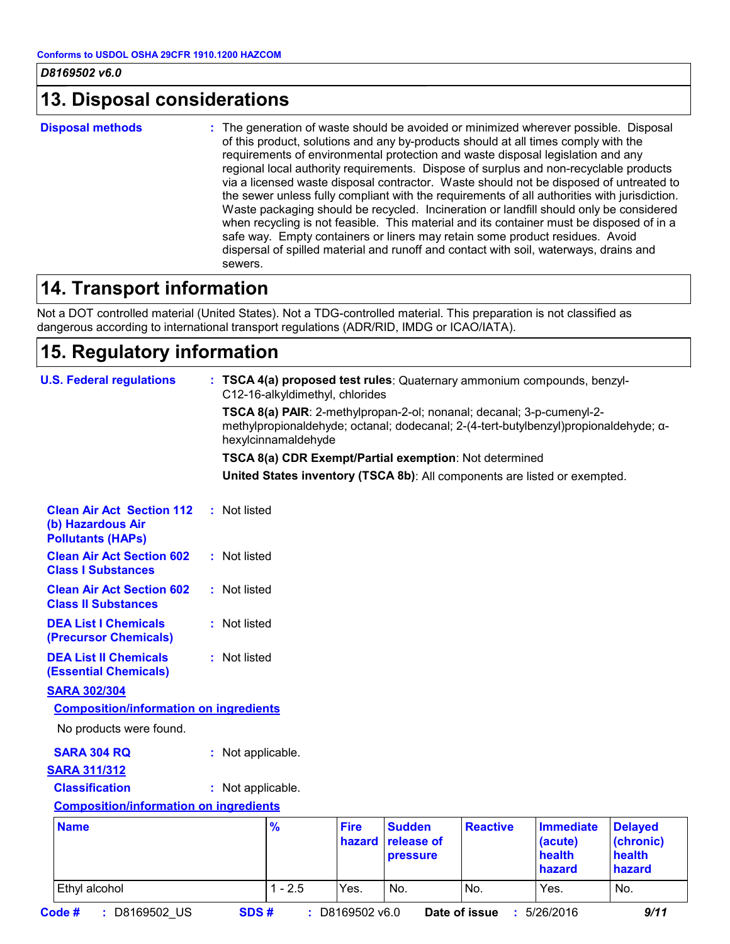### **13. Disposal considerations**

**Disposal methods :**

The generation of waste should be avoided or minimized wherever possible. Disposal of this product, solutions and any by-products should at all times comply with the requirements of environmental protection and waste disposal legislation and any regional local authority requirements. Dispose of surplus and non-recyclable products via a licensed waste disposal contractor. Waste should not be disposed of untreated to the sewer unless fully compliant with the requirements of all authorities with jurisdiction. Waste packaging should be recycled. Incineration or landfill should only be considered when recycling is not feasible. This material and its container must be disposed of in a safe way. Empty containers or liners may retain some product residues. Avoid dispersal of spilled material and runoff and contact with soil, waterways, drains and sewers.

### **14. Transport information**

Not a DOT controlled material (United States). Not a TDG-controlled material. This preparation is not classified as dangerous according to international transport regulations (ADR/RID, IMDG or ICAO/IATA).

### **15. Regulatory information**

| <b>U.S. Federal regulations</b>                                                   |                   | C12-16-alkyldimethyl, chlorides<br>hexylcinnamaldehyde |                       | : TSCA 4(a) proposed test rules: Quaternary ammonium compounds, benzyl-<br>TSCA 8(a) PAIR: 2-methylpropan-2-ol; nonanal; decanal; 3-p-cumenyl-2-<br>methylpropionaldehyde; octanal; dodecanal; 2-(4-tert-butylbenzyl)propionaldehyde; a-<br>TSCA 8(a) CDR Exempt/Partial exemption: Not determined<br>United States inventory (TSCA 8b): All components are listed or exempted. |                 |                                                 |                                                 |
|-----------------------------------------------------------------------------------|-------------------|--------------------------------------------------------|-----------------------|---------------------------------------------------------------------------------------------------------------------------------------------------------------------------------------------------------------------------------------------------------------------------------------------------------------------------------------------------------------------------------|-----------------|-------------------------------------------------|-------------------------------------------------|
| <b>Clean Air Act Section 112</b><br>(b) Hazardous Air<br><b>Pollutants (HAPs)</b> | : Not listed      |                                                        |                       |                                                                                                                                                                                                                                                                                                                                                                                 |                 |                                                 |                                                 |
| <b>Clean Air Act Section 602</b><br><b>Class I Substances</b>                     | : Not listed      |                                                        |                       |                                                                                                                                                                                                                                                                                                                                                                                 |                 |                                                 |                                                 |
| <b>Clean Air Act Section 602</b><br><b>Class II Substances</b>                    | : Not listed      |                                                        |                       |                                                                                                                                                                                                                                                                                                                                                                                 |                 |                                                 |                                                 |
| <b>DEA List I Chemicals</b><br>(Precursor Chemicals)                              | : Not listed      |                                                        |                       |                                                                                                                                                                                                                                                                                                                                                                                 |                 |                                                 |                                                 |
| <b>DEA List II Chemicals</b><br><b>(Essential Chemicals)</b>                      | : Not listed      |                                                        |                       |                                                                                                                                                                                                                                                                                                                                                                                 |                 |                                                 |                                                 |
| <b>SARA 302/304</b><br><b>Composition/information on ingredients</b>              |                   |                                                        |                       |                                                                                                                                                                                                                                                                                                                                                                                 |                 |                                                 |                                                 |
| No products were found.<br><b>SARA 304 RQ</b><br><b>SARA 311/312</b>              | : Not applicable. |                                                        |                       |                                                                                                                                                                                                                                                                                                                                                                                 |                 |                                                 |                                                 |
| <b>Classification</b><br><b>Composition/information on ingredients</b>            | : Not applicable. |                                                        |                       |                                                                                                                                                                                                                                                                                                                                                                                 |                 |                                                 |                                                 |
| <b>Name</b>                                                                       |                   | $\frac{9}{6}$                                          | <b>Fire</b><br>hazard | <b>Sudden</b><br>release of<br>pressure                                                                                                                                                                                                                                                                                                                                         | <b>Reactive</b> | <b>Immediate</b><br>(acute)<br>health<br>hazard | <b>Delayed</b><br>(chronic)<br>health<br>hazard |
| Ethyl alcohol                                                                     |                   | $1 - 2.5$                                              | Yes.                  | No.                                                                                                                                                                                                                                                                                                                                                                             | No.             | Yes.                                            | No.                                             |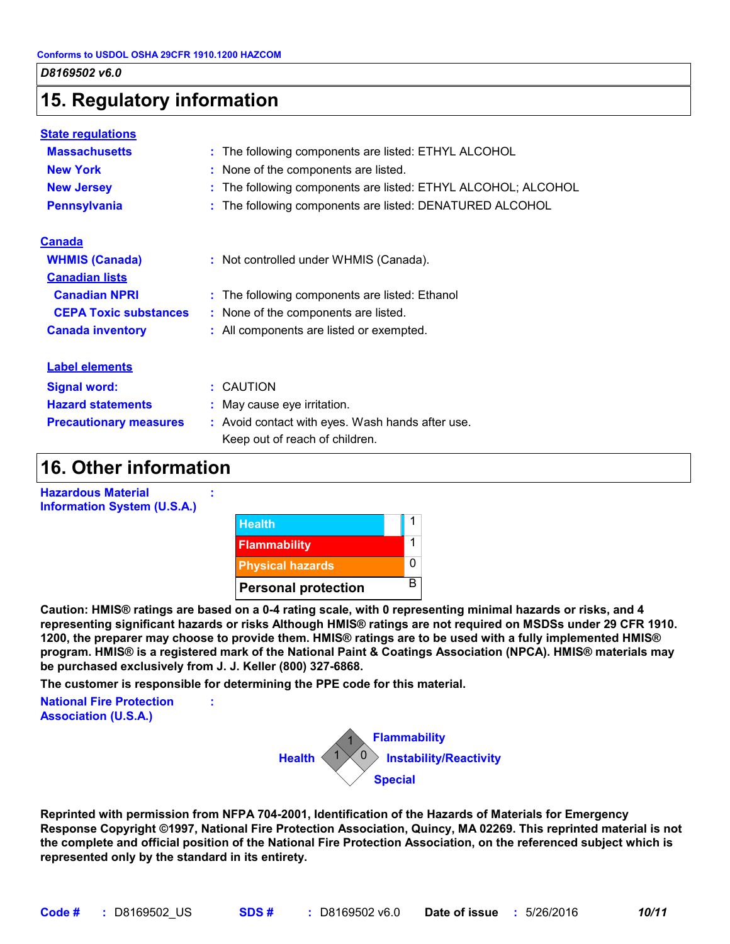### **15. Regulatory information**

| <b>State regulations</b>      |                                                               |
|-------------------------------|---------------------------------------------------------------|
| <b>Massachusetts</b>          | : The following components are listed: ETHYL ALCOHOL          |
| <b>New York</b>               | : None of the components are listed.                          |
| <b>New Jersey</b>             | : The following components are listed: ETHYL ALCOHOL; ALCOHOL |
| <b>Pennsylvania</b>           | : The following components are listed: DENATURED ALCOHOL      |
| <b>Canada</b>                 |                                                               |
| <b>WHMIS (Canada)</b>         | : Not controlled under WHMIS (Canada).                        |
| <b>Canadian lists</b>         |                                                               |
| <b>Canadian NPRI</b>          | : The following components are listed: Ethanol                |
| <b>CEPA Toxic substances</b>  | : None of the components are listed.                          |
| <b>Canada inventory</b>       | : All components are listed or exempted.                      |
| <b>Label elements</b>         |                                                               |
| <b>Signal word:</b>           | : CAUTION                                                     |
| <b>Hazard statements</b>      | : May cause eye irritation.                                   |
| <b>Precautionary measures</b> | : Avoid contact with eyes. Wash hands after use.              |
|                               | Keep out of reach of children.                                |

### **16. Other information**



**Caution: HMIS® ratings are based on a 0-4 rating scale, with 0 representing minimal hazards or risks, and 4 representing significant hazards or risks Although HMIS® ratings are not required on MSDSs under 29 CFR 1910. 1200, the preparer may choose to provide them. HMIS® ratings are to be used with a fully implemented HMIS® program. HMIS® is a registered mark of the National Paint & Coatings Association (NPCA). HMIS® materials may be purchased exclusively from J. J. Keller (800) 327-6868.**

**The customer is responsible for determining the PPE code for this material.**

**:**

**National Fire Protection Association (U.S.A.)**



**Reprinted with permission from NFPA 704-2001, Identification of the Hazards of Materials for Emergency Response Copyright ©1997, National Fire Protection Association, Quincy, MA 02269. This reprinted material is not the complete and official position of the National Fire Protection Association, on the referenced subject which is represented only by the standard in its entirety.**